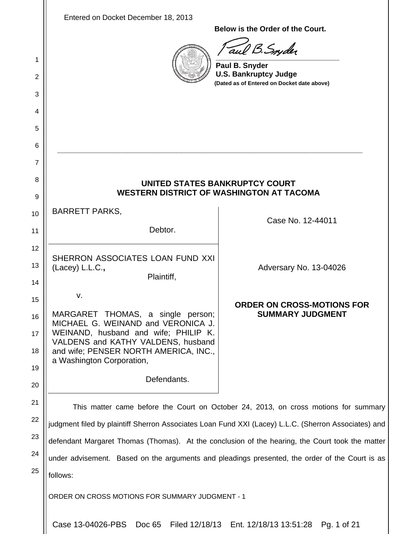| 1<br>2<br>3<br>4<br>5<br>6 | Entered on Docket December 18, 2013                                                                                                                                                                                               | Below is the Order of the Court.<br>aul B. Snyder<br>Paul B. Snyder<br><b>U.S. Bankruptcy Judge</b><br>(Dated as of Entered on Docket date above) |  |
|----------------------------|-----------------------------------------------------------------------------------------------------------------------------------------------------------------------------------------------------------------------------------|---------------------------------------------------------------------------------------------------------------------------------------------------|--|
| 7<br>8                     | UNITED STATES BANKRUPTCY COURT                                                                                                                                                                                                    |                                                                                                                                                   |  |
| 9                          | <b>WESTERN DISTRICT OF WASHINGTON AT TACOMA</b>                                                                                                                                                                                   |                                                                                                                                                   |  |
| 10                         | <b>BARRETT PARKS,</b>                                                                                                                                                                                                             | Case No. 12-44011                                                                                                                                 |  |
| 11                         | Debtor.                                                                                                                                                                                                                           |                                                                                                                                                   |  |
| 12<br>13                   | SHERRON ASSOCIATES LOAN FUND XXI<br>(Lacey) L.L.C.,                                                                                                                                                                               | Adversary No. 13-04026                                                                                                                            |  |
| 14                         | Plaintiff,                                                                                                                                                                                                                        |                                                                                                                                                   |  |
| 15<br>16<br>17<br>18       | ٧.<br>MARGARET THOMAS, a single person;<br>MICHAEL G. WEINAND and VERONICA J.<br>WEINAND, husband and wife; PHILIP K.<br>VALDENS and KATHY VALDENS, husband<br>and wife; PENSER NORTH AMERICA, INC.,<br>a Washington Corporation, | <b>ORDER ON CROSS-MOTIONS FOR</b><br><b>SUMMARY JUDGMENT</b>                                                                                      |  |
| 19<br>20                   | Defendants.                                                                                                                                                                                                                       |                                                                                                                                                   |  |
| 21                         |                                                                                                                                                                                                                                   |                                                                                                                                                   |  |
| 22                         | This matter came before the Court on October 24, 2013, on cross motions for summary<br>judgment filed by plaintiff Sherron Associates Loan Fund XXI (Lacey) L.L.C. (Sherron Associates) and                                       |                                                                                                                                                   |  |
| 23                         | defendant Margaret Thomas (Thomas). At the conclusion of the hearing, the Court took the matter                                                                                                                                   |                                                                                                                                                   |  |
| 24                         | under advisement. Based on the arguments and pleadings presented, the order of the Court is as                                                                                                                                    |                                                                                                                                                   |  |
| 25                         | follows:                                                                                                                                                                                                                          |                                                                                                                                                   |  |
|                            | ORDER ON CROSS MOTIONS FOR SUMMARY JUDGMENT - 1                                                                                                                                                                                   |                                                                                                                                                   |  |
|                            | Case 13-04026-PBS<br>Doc 65                                                                                                                                                                                                       | Filed 12/18/13 Ent. 12/18/13 13:51:28<br>Pg. 1 of 21                                                                                              |  |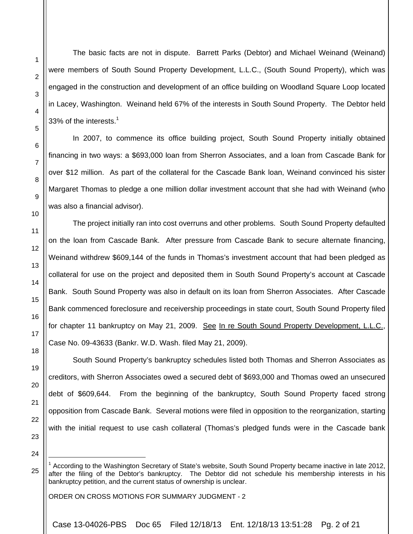The basic facts are not in dispute. Barrett Parks (Debtor) and Michael Weinand (Weinand) were members of South Sound Property Development, L.L.C., (South Sound Property), which was engaged in the construction and development of an office building on Woodland Square Loop located in Lacey, Washington. Weinand held 67% of the interests in South Sound Property. The Debtor held 33% of the interests. $1$ 

In 2007, to commence its office building project, South Sound Property initially obtained financing in two ways: a \$693,000 loan from Sherron Associates, and a loan from Cascade Bank for over \$12 million. As part of the collateral for the Cascade Bank loan, Weinand convinced his sister Margaret Thomas to pledge a one million dollar investment account that she had with Weinand (who was also a financial advisor).

The project initially ran into cost overruns and other problems. South Sound Property defaulted on the loan from Cascade Bank. After pressure from Cascade Bank to secure alternate financing, Weinand withdrew \$609,144 of the funds in Thomas's investment account that had been pledged as collateral for use on the project and deposited them in South Sound Property's account at Cascade Bank. South Sound Property was also in default on its loan from Sherron Associates. After Cascade Bank commenced foreclosure and receivership proceedings in state court, South Sound Property filed for chapter 11 bankruptcy on May 21, 2009. See In re South Sound Property Development, L.L.C., Case No. 09-43633 (Bankr. W.D. Wash. filed May 21, 2009).

South Sound Property's bankruptcy schedules listed both Thomas and Sherron Associates as creditors, with Sherron Associates owed a secured debt of \$693,000 and Thomas owed an unsecured debt of \$609,644. From the beginning of the bankruptcy, South Sound Property faced strong opposition from Cascade Bank. Several motions were filed in opposition to the reorganization, starting with the initial request to use cash collateral (Thomas's pledged funds were in the Cascade bank

l

ORDER ON CROSS MOTIONS FOR SUMMARY JUDGMENT - 2

Case 13-04026-PBS Doc 65 Filed 12/18/13 Ent. 12/18/13 13:51:28 Pg. 2 of 21

<sup>&</sup>lt;sup>1</sup> According to the Washington Secretary of State's website, South Sound Property became inactive in late 2012, after the filing of the Debtor's bankruptcy. The Debtor did not schedule his membership interests in his bankruptcy petition, and the current status of ownership is unclear.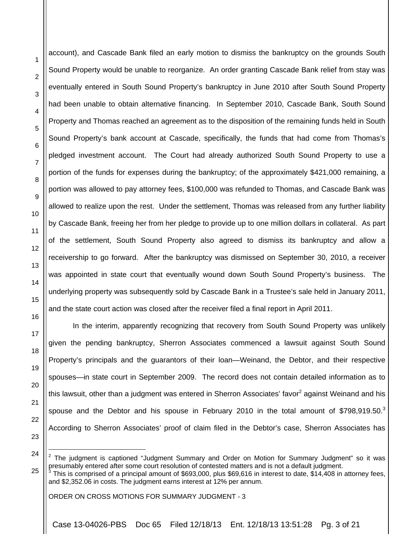l

account), and Cascade Bank filed an early motion to dismiss the bankruptcy on the grounds South Sound Property would be unable to reorganize. An order granting Cascade Bank relief from stay was eventually entered in South Sound Property's bankruptcy in June 2010 after South Sound Property had been unable to obtain alternative financing. In September 2010, Cascade Bank, South Sound Property and Thomas reached an agreement as to the disposition of the remaining funds held in South Sound Property's bank account at Cascade, specifically, the funds that had come from Thomas's pledged investment account. The Court had already authorized South Sound Property to use a portion of the funds for expenses during the bankruptcy; of the approximately \$421,000 remaining, a portion was allowed to pay attorney fees, \$100,000 was refunded to Thomas, and Cascade Bank was allowed to realize upon the rest. Under the settlement, Thomas was released from any further liability by Cascade Bank, freeing her from her pledge to provide up to one million dollars in collateral. As part of the settlement, South Sound Property also agreed to dismiss its bankruptcy and allow a receivership to go forward. After the bankruptcy was dismissed on September 30, 2010, a receiver was appointed in state court that eventually wound down South Sound Property's business. The underlying property was subsequently sold by Cascade Bank in a Trustee's sale held in January 2011, and the state court action was closed after the receiver filed a final report in April 2011.

In the interim, apparently recognizing that recovery from South Sound Property was unlikely given the pending bankruptcy, Sherron Associates commenced a lawsuit against South Sound Property's principals and the guarantors of their loan—Weinand, the Debtor, and their respective spouses—in state court in September 2009. The record does not contain detailed information as to this lawsuit, other than a judgment was entered in Sherron Associates' favor<sup>2</sup> against Weinand and his spouse and the Debtor and his spouse in February 2010 in the total amount of \$798,919.50. $3$ According to Sherron Associates' proof of claim filed in the Debtor's case, Sherron Associates has

ORDER ON CROSS MOTIONS FOR SUMMARY JUDGMENT - 3

<sup>2</sup> The judgment is captioned "Judgment Summary and Order on Motion for Summary Judgment" so it was presumably entered after some court resolution of contested matters and is not a default judgment.<br>3 This is comprised of a principal amount of \$603,000, plus \$60,616 in interact to data, \$14,408 in

<sup>25</sup> This is comprised of a principal amount of \$693,000, plus \$69,616 in interest to date, \$14,408 in attorney fees, and \$2,352.06 in costs. The judgment earns interest at 12% per annum.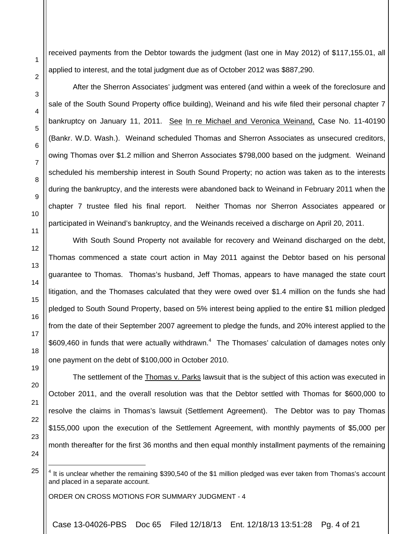received payments from the Debtor towards the judgment (last one in May 2012) of \$117,155.01, all applied to interest, and the total judgment due as of October 2012 was \$887,290.

After the Sherron Associates' judgment was entered (and within a week of the foreclosure and sale of the South Sound Property office building), Weinand and his wife filed their personal chapter 7 bankruptcy on January 11, 2011. See In re Michael and Veronica Weinand, Case No. 11-40190 (Bankr. W.D. Wash.). Weinand scheduled Thomas and Sherron Associates as unsecured creditors, owing Thomas over \$1.2 million and Sherron Associates \$798,000 based on the judgment. Weinand scheduled his membership interest in South Sound Property; no action was taken as to the interests during the bankruptcy, and the interests were abandoned back to Weinand in February 2011 when the chapter 7 trustee filed his final report. Neither Thomas nor Sherron Associates appeared or participated in Weinand's bankruptcy, and the Weinands received a discharge on April 20, 2011.

With South Sound Property not available for recovery and Weinand discharged on the debt, Thomas commenced a state court action in May 2011 against the Debtor based on his personal guarantee to Thomas. Thomas's husband, Jeff Thomas, appears to have managed the state court litigation, and the Thomases calculated that they were owed over \$1.4 million on the funds she had pledged to South Sound Property, based on 5% interest being applied to the entire \$1 million pledged from the date of their September 2007 agreement to pledge the funds, and 20% interest applied to the \$609,460 in funds that were actually withdrawn.<sup>4</sup> The Thomases' calculation of damages notes only one payment on the debt of \$100,000 in October 2010.

1

2

3

4

5

6

7

8

9

10

11

12

13

14

15

16

17

18

19

- The settlement of the Thomas v. Parks lawsuit that is the subject of this action was executed in October 2011, and the overall resolution was that the Debtor settled with Thomas for \$600,000 to resolve the claims in Thomas's lawsuit (Settlement Agreement). The Debtor was to pay Thomas \$155,000 upon the execution of the Settlement Agreement, with monthly payments of \$5,000 per month thereafter for the first 36 months and then equal monthly installment payments of the remaining
- 25

l

24

ORDER ON CROSS MOTIONS FOR SUMMARY JUDGMENT - 4

Case 13-04026-PBS Doc 65 Filed 12/18/13 Ent. 12/18/13 13:51:28 Pg. 4 of 21

 $4$  It is unclear whether the remaining \$390,540 of the \$1 million pledged was ever taken from Thomas's account and placed in a separate account.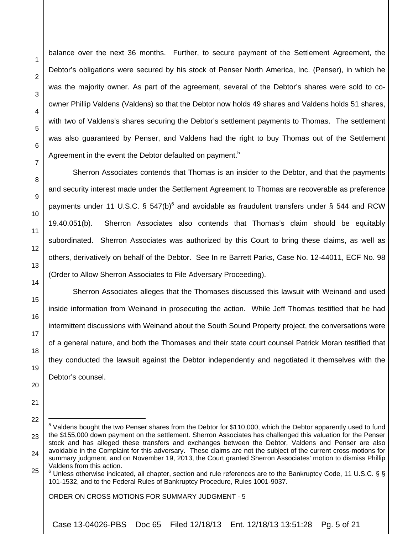balance over the next 36 months. Further, to secure payment of the Settlement Agreement, the Debtor's obligations were secured by his stock of Penser North America, Inc. (Penser), in which he was the majority owner. As part of the agreement, several of the Debtor's shares were sold to coowner Phillip Valdens (Valdens) so that the Debtor now holds 49 shares and Valdens holds 51 shares, with two of Valdens's shares securing the Debtor's settlement payments to Thomas. The settlement was also guaranteed by Penser, and Valdens had the right to buy Thomas out of the Settlement Agreement in the event the Debtor defaulted on payment.<sup>5</sup>

Sherron Associates contends that Thomas is an insider to the Debtor, and that the payments and security interest made under the Settlement Agreement to Thomas are recoverable as preference payments under 11 U.S.C. § 547(b)<sup>6</sup> and avoidable as fraudulent transfers under § 544 and RCW 19.40.051(b). Sherron Associates also contends that Thomas's claim should be equitably subordinated. Sherron Associates was authorized by this Court to bring these claims, as well as others, derivatively on behalf of the Debtor. See In re Barrett Parks, Case No. 12-44011, ECF No. 98 (Order to Allow Sherron Associates to File Adversary Proceeding).

Sherron Associates alleges that the Thomases discussed this lawsuit with Weinand and used inside information from Weinand in prosecuting the action. While Jeff Thomas testified that he had intermittent discussions with Weinand about the South Sound Property project, the conversations were of a general nature, and both the Thomases and their state court counsel Patrick Moran testified that they conducted the lawsuit against the Debtor independently and negotiated it themselves with the Debtor's counsel.

ORDER ON CROSS MOTIONS FOR SUMMARY JUDGMENT - 5

1

2

3

4

5

6

7

8

9

10

11

12

13

14

15

16

17

18

19

20

21

22

l

Case 13-04026-PBS Doc 65 Filed 12/18/13 Ent. 12/18/13 13:51:28 Pg. 5 of 21

<sup>23</sup> <sup>5</sup> Valdens bought the two Penser shares from the Debtor for \$110,000, which the Debtor apparently used to fund the \$155,000 down payment on the settlement. Sherron Associates has challenged this valuation for the Penser stock and has alleged these transfers and exchanges between the Debtor, Valdens and Penser are also avoidable in the Complaint for this adversary. These claims are not the subject of the current cross-motions for summary judgment, and on November 19, 2013, the Court granted Sherron Associates' motion to dismiss Phillip Valdens from this action.

 $^6$  Unless otherwise indicated, all chapter, section and rule references are to the Bankruptcy Code, 11 U.S.C. § § 101-1532, and to the Federal Rules of Bankruptcy Procedure, Rules 1001-9037.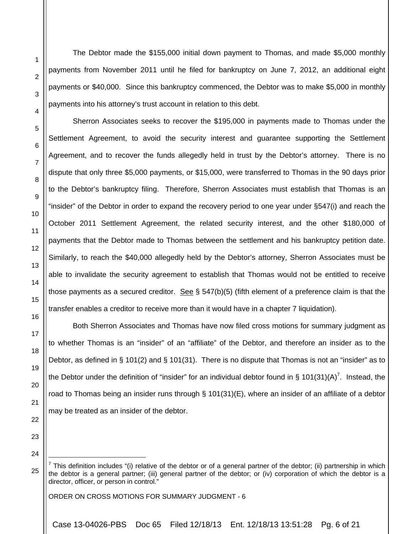The Debtor made the \$155,000 initial down payment to Thomas, and made \$5,000 monthly payments from November 2011 until he filed for bankruptcy on June 7, 2012, an additional eight payments or \$40,000. Since this bankruptcy commenced, the Debtor was to make \$5,000 in monthly payments into his attorney's trust account in relation to this debt.

Sherron Associates seeks to recover the \$195,000 in payments made to Thomas under the Settlement Agreement, to avoid the security interest and guarantee supporting the Settlement Agreement, and to recover the funds allegedly held in trust by the Debtor's attorney. There is no dispute that only three \$5,000 payments, or \$15,000, were transferred to Thomas in the 90 days prior to the Debtor's bankruptcy filing. Therefore, Sherron Associates must establish that Thomas is an "insider" of the Debtor in order to expand the recovery period to one year under §547(i) and reach the October 2011 Settlement Agreement, the related security interest, and the other \$180,000 of payments that the Debtor made to Thomas between the settlement and his bankruptcy petition date. Similarly, to reach the \$40,000 allegedly held by the Debtor's attorney, Sherron Associates must be able to invalidate the security agreement to establish that Thomas would not be entitled to receive those payments as a secured creditor. See § 547(b)(5) (fifth element of a preference claim is that the transfer enables a creditor to receive more than it would have in a chapter 7 liquidation).

 Both Sherron Associates and Thomas have now filed cross motions for summary judgment as to whether Thomas is an "insider" of an "affiliate" of the Debtor, and therefore an insider as to the Debtor, as defined in § 101(2) and § 101(31). There is no dispute that Thomas is not an "insider" as to the Debtor under the definition of "insider" for an individual debtor found in § 101(31)(A)<sup>7</sup>. Instead, the road to Thomas being an insider runs through § 101(31)(E), where an insider of an affiliate of a debtor may be treated as an insider of the debtor.

23

24

l

25

1

2

3

4

5

6

7

8

9

10

11

12

13

14

15

16

17

18

19

20

21

22

ORDER ON CROSS MOTIONS FOR SUMMARY JUDGMENT - 6

Case 13-04026-PBS Doc 65 Filed 12/18/13 Ent. 12/18/13 13:51:28 Pg. 6 of 21

<sup>&</sup>lt;sup>7</sup> This definition includes "(i) relative of the debtor or of a general partner of the debtor; (ii) partnership in which the debtor is a general partner; (iii) general partner of the debtor; or (iv) corporation of which the debtor is a director, officer, or person in control."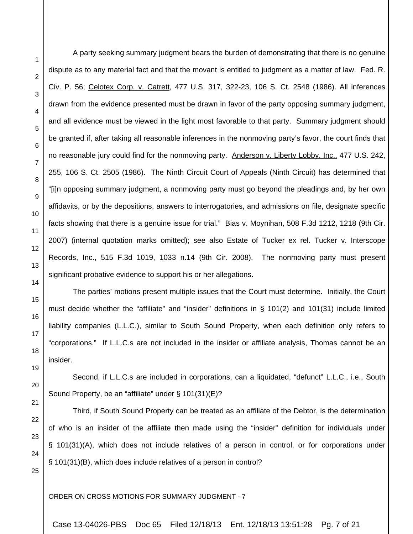12

13

14

15

16

17

18

19

20

21

22

23

24

25

1

 A party seeking summary judgment bears the burden of demonstrating that there is no genuine dispute as to any material fact and that the movant is entitled to judgment as a matter of law. Fed. R. Civ. P. 56; Celotex Corp. v. Catrett, 477 U.S. 317, 322-23, 106 S. Ct. 2548 (1986). All inferences drawn from the evidence presented must be drawn in favor of the party opposing summary judgment, and all evidence must be viewed in the light most favorable to that party. Summary judgment should be granted if, after taking all reasonable inferences in the nonmoving party's favor, the court finds that no reasonable jury could find for the nonmoving party. Anderson v. Liberty Lobby, Inc., 477 U.S. 242, 255, 106 S. Ct. 2505 (1986). The Ninth Circuit Court of Appeals (Ninth Circuit) has determined that "[i]n opposing summary judgment, a nonmoving party must go beyond the pleadings and, by her own affidavits, or by the depositions, answers to interrogatories, and admissions on file, designate specific facts showing that there is a genuine issue for trial." Bias v. Moynihan, 508 F.3d 1212, 1218 (9th Cir. 2007) (internal quotation marks omitted); see also Estate of Tucker ex rel. Tucker v. Interscope Records, Inc., 515 F.3d 1019, 1033 n.14 (9th Cir. 2008). The nonmoving party must present significant probative evidence to support his or her allegations.

The parties' motions present multiple issues that the Court must determine. Initially, the Court must decide whether the "affiliate" and "insider" definitions in § 101(2) and 101(31) include limited liability companies (L.L.C.), similar to South Sound Property, when each definition only refers to "corporations." If L.L.C.s are not included in the insider or affiliate analysis, Thomas cannot be an insider.

Second, if L.L.C.s are included in corporations, can a liquidated, "defunct" L.L.C., i.e., South Sound Property, be an "affiliate" under § 101(31)(E)?

Third, if South Sound Property can be treated as an affiliate of the Debtor, is the determination of who is an insider of the affiliate then made using the "insider" definition for individuals under § 101(31)(A), which does not include relatives of a person in control, or for corporations under § 101(31)(B), which does include relatives of a person in control?

ORDER ON CROSS MOTIONS FOR SUMMARY JUDGMENT - 7

Case 13-04026-PBS Doc 65 Filed 12/18/13 Ent. 12/18/13 13:51:28 Pg. 7 of 21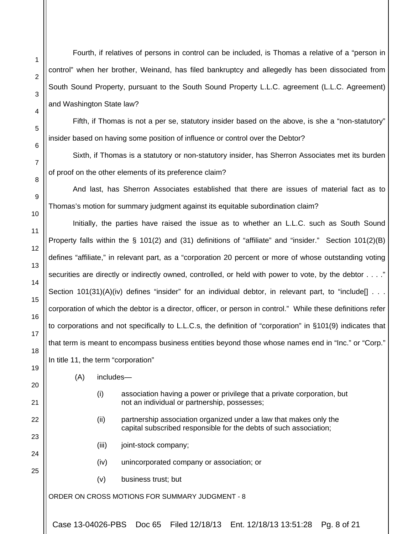Fourth, if relatives of persons in control can be included, is Thomas a relative of a "person in control" when her brother, Weinand, has filed bankruptcy and allegedly has been dissociated from South Sound Property, pursuant to the South Sound Property L.L.C. agreement (L.L.C. Agreement) and Washington State law?

Fifth, if Thomas is not a per se, statutory insider based on the above, is she a "non-statutory" insider based on having some position of influence or control over the Debtor?

Sixth, if Thomas is a statutory or non-statutory insider, has Sherron Associates met its burden of proof on the other elements of its preference claim?

And last, has Sherron Associates established that there are issues of material fact as to Thomas's motion for summary judgment against its equitable subordination claim?

Initially, the parties have raised the issue as to whether an L.L.C. such as South Sound Property falls within the § 101(2) and (31) definitions of "affiliate" and "insider." Section 101(2)(B) defines "affiliate," in relevant part, as a "corporation 20 percent or more of whose outstanding voting securities are directly or indirectly owned, controlled, or held with power to vote, by the debtor . . . ." Section 101(31)(A)(iv) defines "insider" for an individual debtor, in relevant part, to "include[] . . . corporation of which the debtor is a director, officer, or person in control." While these definitions refer to corporations and not specifically to L.L.C.s, the definition of "corporation" in §101(9) indicates that that term is meant to encompass business entities beyond those whose names end in "Inc." or "Corp." In title 11, the term "corporation"

(A) includes—

1

2

3

4

5

6

7

8

9

10

11

12

13

14

15

16

17

18

19

20

21

22

23

24

25

- (i) association having a power or privilege that a private corporation, but not an individual or partnership, possesses;
- (ii) partnership association organized under a law that makes only the capital subscribed responsible for the debts of such association;
- (iii) joint-stock company;
- (iv) unincorporated company or association; or
- (v) business trust; but

ORDER ON CROSS MOTIONS FOR SUMMARY JUDGMENT - 8

Case 13-04026-PBS Doc 65 Filed 12/18/13 Ent. 12/18/13 13:51:28 Pg. 8 of 21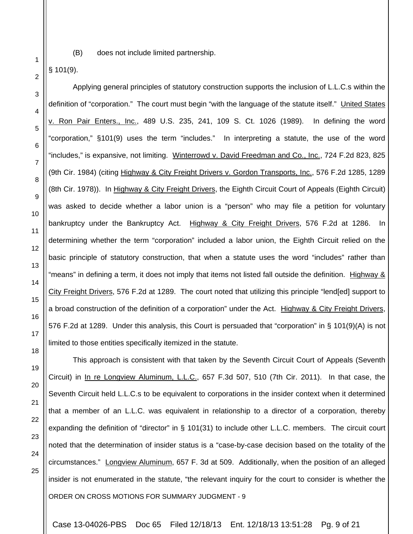(B) does not include limited partnership.

§ 101(9).

1

2

3

4

5

6

7

8

9

10

11

12

13

14

15

16

17

18

 Applying general principles of statutory construction supports the inclusion of L.L.C.s within the definition of "corporation." The court must begin "with the language of the statute itself." United States v. Ron Pair Enters., Inc., 489 U.S. 235, 241, 109 S. Ct. 1026 (1989). In defining the word "corporation," §101(9) uses the term "includes." In interpreting a statute, the use of the word "includes," is expansive, not limiting. Winterrowd v. David Freedman and Co., Inc., 724 F.2d 823, 825 (9th Cir. 1984) (citing Highway & City Freight Drivers v. Gordon Transports, Inc., 576 F.2d 1285, 1289 (8th Cir. 1978)). In Highway & City Freight Drivers, the Eighth Circuit Court of Appeals (Eighth Circuit) was asked to decide whether a labor union is a "person" who may file a petition for voluntary bankruptcy under the Bankruptcy Act. Highway & City Freight Drivers, 576 F.2d at 1286. In determining whether the term "corporation" included a labor union, the Eighth Circuit relied on the basic principle of statutory construction, that when a statute uses the word "includes" rather than "means" in defining a term, it does not imply that items not listed fall outside the definition. Highway & City Freight Drivers, 576 F.2d at 1289. The court noted that utilizing this principle "lend[ed] support to a broad construction of the definition of a corporation" under the Act. Highway & City Freight Drivers, 576 F.2d at 1289. Under this analysis, this Court is persuaded that "corporation" in § 101(9)(A) is not limited to those entities specifically itemized in the statute.

ORDER ON CROSS MOTIONS FOR SUMMARY JUDGMENT - 9 This approach is consistent with that taken by the Seventh Circuit Court of Appeals (Seventh Circuit) in In re Longview Aluminum, L.L.C., 657 F.3d 507, 510 (7th Cir. 2011). In that case, the Seventh Circuit held L.L.C.s to be equivalent to corporations in the insider context when it determined that a member of an L.L.C. was equivalent in relationship to a director of a corporation, thereby expanding the definition of "director" in § 101(31) to include other L.L.C. members. The circuit court noted that the determination of insider status is a "case-by-case decision based on the totality of the circumstances." Longview Aluminum, 657 F. 3d at 509. Additionally, when the position of an alleged insider is not enumerated in the statute, "the relevant inquiry for the court to consider is whether the

Case 13-04026-PBS Doc 65 Filed 12/18/13 Ent. 12/18/13 13:51:28 Pg. 9 of 21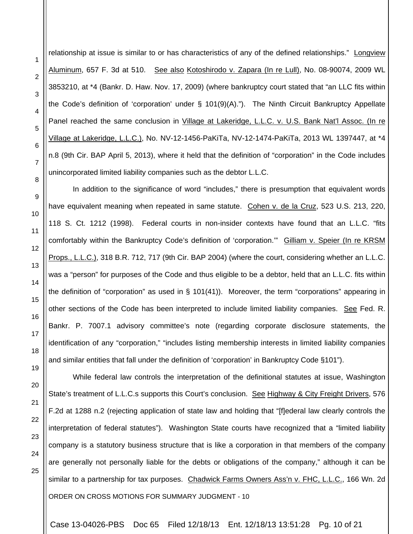relationship at issue is similar to or has characteristics of any of the defined relationships." Longview Aluminum, 657 F. 3d at 510. <u>See also Kotoshirodo v. Zapara (In re Lull),</u> No. 08-90074, 2009 WL 3853210, at \*4 (Bankr. D. Haw. Nov. 17, 2009) (where bankruptcy court stated that "an LLC fits within the Code's definition of 'corporation' under § 101(9)(A)."). The Ninth Circuit Bankruptcy Appellate Panel reached the same conclusion in Village at Lakeridge, L.L.C. v. U.S. Bank Nat'l Assoc. (In re Village at Lakeridge, L.L.C.), No. NV-12-1456-PaKiTa, NV-12-1474-PaKiTa, 2013 WL 1397447, at \*4 n.8 (9th Cir. BAP April 5, 2013), where it held that the definition of "corporation" in the Code includes unincorporated limited liability companies such as the debtor L.L.C.

1

2

3

4

5

6

7

8

9

10

11

12

13

14

15

16

17

18

19

20

21

22

23

24

25

 In addition to the significance of word "includes," there is presumption that equivalent words have equivalent meaning when repeated in same statute. Cohen v. de la Cruz, 523 U.S. 213, 220, 118 S. Ct. 1212 (1998). Federal courts in non-insider contexts have found that an L.L.C. "fits comfortably within the Bankruptcy Code's definition of 'corporation."" Gilliam v. Speier (In re KRSM Props., L.L.C.), 318 B.R. 712, 717 (9th Cir. BAP 2004) (where the court, considering whether an L.L.C. was a "person" for purposes of the Code and thus eligible to be a debtor, held that an L.L.C. fits within the definition of "corporation" as used in  $\S$  101(41)). Moreover, the term "corporations" appearing in other sections of the Code has been interpreted to include limited liability companies. See Fed. R. Bankr. P. 7007.1 advisory committee's note (regarding corporate disclosure statements, the identification of any "corporation," "includes listing membership interests in limited liability companies and similar entities that fall under the definition of 'corporation' in Bankruptcy Code §101").

ORDER ON CROSS MOTIONS FOR SUMMARY JUDGMENT - 10 While federal law controls the interpretation of the definitional statutes at issue, Washington State's treatment of L.L.C.s supports this Court's conclusion. See Highway & City Freight Drivers, 576 F.2d at 1288 n.2 (rejecting application of state law and holding that "[f]ederal law clearly controls the interpretation of federal statutes"). Washington State courts have recognized that a "limited liability company is a statutory business structure that is like a corporation in that members of the company are generally not personally liable for the debts or obligations of the company," although it can be similar to a partnership for tax purposes. Chadwick Farms Owners Ass'n v. FHC, L.L.C., 166 Wn. 2d

Case 13-04026-PBS Doc 65 Filed 12/18/13 Ent. 12/18/13 13:51:28 Pg. 10 of 21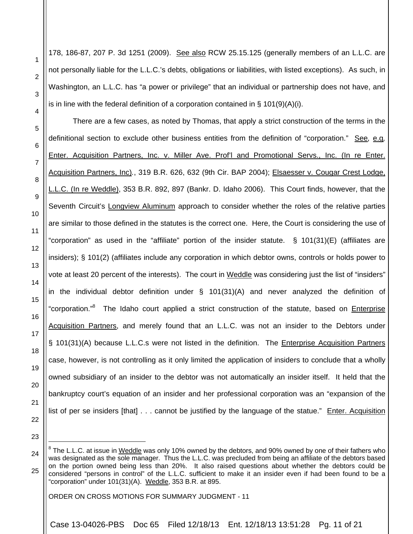178, 186-87, 207 P. 3d 1251 (2009). See also RCW 25.15.125 (generally members of an L.L.C. are not personally liable for the L.L.C.'s debts, obligations or liabilities, with listed exceptions). As such, in Washington, an L.L.C. has "a power or privilege" that an individual or partnership does not have, and is in line with the federal definition of a corporation contained in §  $101(9)(A)(i)$ .

There are a few cases, as noted by Thomas, that apply a strict construction of the terms in the definitional section to exclude other business entities from the definition of "corporation." See*,* e.g*,*  Enter. Acquisition Partners, Inc. v. Miller Ave. Prof'l and Promotional Servs., Inc. (In re Enter. Acquisition Partners, Inc)*.*, 319 B.R. 626, 632 (9th Cir. BAP 2004); Elsaesser v. Cougar Crest Lodge, L.L.C. (In re Weddle), 353 B.R. 892, 897 (Bankr. D. Idaho 2006). This Court finds, however, that the Seventh Circuit's Longview Aluminum approach to consider whether the roles of the relative parties are similar to those defined in the statutes is the correct one. Here, the Court is considering the use of "corporation" as used in the "affiliate" portion of the insider statute. § 101(31)(E) (affiliates are insiders); § 101(2) (affiliates include any corporation in which debtor owns, controls or holds power to vote at least 20 percent of the interests). The court in Weddle was considering just the list of "insiders" in the individual debtor definition under § 101(31)(A) and never analyzed the definition of "corporation."<sup>8</sup> The Idaho court applied a strict construction of the statute, based on *Enterprise* Acquisition Partners, and merely found that an L.L.C. was not an insider to the Debtors under § 101(31)(A) because L.L.C.s were not listed in the definition. The Enterprise Acquisition Partners case, however, is not controlling as it only limited the application of insiders to conclude that a wholly owned subsidiary of an insider to the debtor was not automatically an insider itself. It held that the bankruptcy court's equation of an insider and her professional corporation was an "expansion of the list of per se insiders [that] . . . cannot be justified by the language of the statue." Enter. Acquisition

12 13 14

15

16

17

18

19

1

2

3

4

5

6

7

8

9

10

11

20

21

22

23

l

ORDER ON CROSS MOTIONS FOR SUMMARY JUDGMENT - 11

Case 13-04026-PBS Doc 65 Filed 12/18/13 Ent. 12/18/13 13:51:28 Pg. 11 of 21

 $^8$  The L.L.C. at issue in Weddle was only 10% owned by the debtors, and 90% owned by one of their fathers who

<sup>24</sup> 25 was designated as the sole manager. Thus the L.L.C. was precluded from being an affiliate of the debtors based on the portion owned being less than 20%. It also raised questions about whether the debtors could be considered "persons in control" of the L.L.C. sufficient to make it an insider even if had been found to be a "corporation" under 101(31)(A). Weddle, 353 B.R. at 895.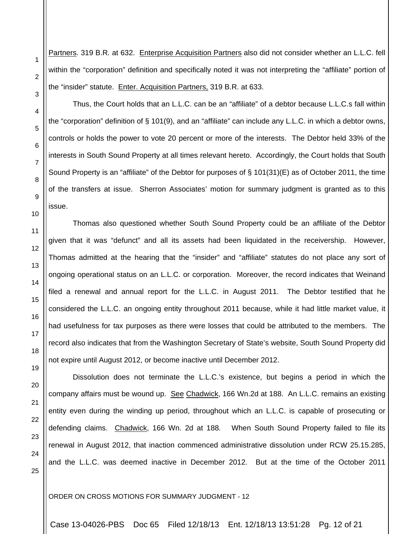Partners*.* 319 B.R*.* at 632. Enterprise Acquisition Partners also did not consider whether an L.L.C. fell within the "corporation" definition and specifically noted it was not interpreting the "affiliate" portion of the "insider" statute. Enter. Acquisition Partners, 319 B.R. at 633.

1

2

3

4

5

6

7

8

9

10

11

12

13

14

15

16

17

18

19

20

21

22

23

24

25

Thus, the Court holds that an L.L.C. can be an "affiliate" of a debtor because L.L.C.s fall within the "corporation" definition of § 101(9), and an "affiliate" can include any L.L.C. in which a debtor owns, controls or holds the power to vote 20 percent or more of the interests. The Debtor held 33% of the interests in South Sound Property at all times relevant hereto. Accordingly, the Court holds that South Sound Property is an "affiliate" of the Debtor for purposes of  $\S$  101(31)(E) as of October 2011, the time of the transfers at issue. Sherron Associates' motion for summary judgment is granted as to this issue.

Thomas also questioned whether South Sound Property could be an affiliate of the Debtor given that it was "defunct" and all its assets had been liquidated in the receivership. However, Thomas admitted at the hearing that the "insider" and "affiliate" statutes do not place any sort of ongoing operational status on an L.L.C. or corporation. Moreover, the record indicates that Weinand filed a renewal and annual report for the L.L.C. in August 2011. The Debtor testified that he considered the L.L.C. an ongoing entity throughout 2011 because, while it had little market value, it had usefulness for tax purposes as there were losses that could be attributed to the members. The record also indicates that from the Washington Secretary of State's website, South Sound Property did not expire until August 2012, or become inactive until December 2012.

Dissolution does not terminate the L.L.C.'s existence, but begins a period in which the company affairs must be wound up. See Chadwick, 166 Wn.2d at 188. An L.L.C. remains an existing entity even during the winding up period, throughout which an L.L.C. is capable of prosecuting or defending claims. Chadwick, 166 Wn. 2d at 188*.* When South Sound Property failed to file its renewal in August 2012, that inaction commenced administrative dissolution under RCW 25.15.285, and the L.L.C. was deemed inactive in December 2012. But at the time of the October 2011

ORDER ON CROSS MOTIONS FOR SUMMARY JUDGMENT - 12

Case 13-04026-PBS Doc 65 Filed 12/18/13 Ent. 12/18/13 13:51:28 Pg. 12 of 21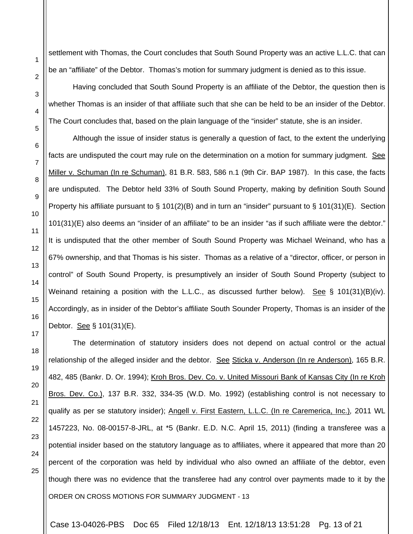settlement with Thomas, the Court concludes that South Sound Property was an active L.L.C. that can be an "affiliate" of the Debtor. Thomas's motion for summary judgment is denied as to this issue.

Having concluded that South Sound Property is an affiliate of the Debtor, the question then is whether Thomas is an insider of that affiliate such that she can be held to be an insider of the Debtor. The Court concludes that, based on the plain language of the "insider" statute, she is an insider.

Although the issue of insider status is generally a question of fact, to the extent the underlying facts are undisputed the court may rule on the determination on a motion for summary judgment. See Miller v. Schuman (In re Schuman), 81 B.R. 583, 586 n.1 (9th Cir. BAP 1987). In this case, the facts are undisputed. The Debtor held 33% of South Sound Property, making by definition South Sound Property his affiliate pursuant to § 101(2)(B) and in turn an "insider" pursuant to § 101(31)(E). Section 101(31)(E) also deems an "insider of an affiliate" to be an insider "as if such affiliate were the debtor." It is undisputed that the other member of South Sound Property was Michael Weinand, who has a 67% ownership, and that Thomas is his sister. Thomas as a relative of a "director, officer, or person in control" of South Sound Property, is presumptively an insider of South Sound Property (subject to Weinand retaining a position with the L.L.C., as discussed further below). See § 101(31)(B)(iv). Accordingly, as in insider of the Debtor's affiliate South Sounder Property, Thomas is an insider of the Debtor. See § 101(31)(E).

ORDER ON CROSS MOTIONS FOR SUMMARY JUDGMENT - 13 The determination of statutory insiders does not depend on actual control or the actual relationship of the alleged insider and the debtor. See Sticka v. Anderson (In re Anderson), 165 B.R. 482, 485 (Bankr. D. Or. 1994); Kroh Bros. Dev. Co. v. United Missouri Bank of Kansas City (In re Kroh Bros. Dev. Co.), 137 B.R. 332, 334-35 (W.D. Mo. 1992) (establishing control is not necessary to qualify as per se statutory insider); Angell v. First Eastern, L.L.C. (In re Caremerica, Inc.)*,* 2011 WL 1457223, No. 08-00157-8-JRL, at \*5 (Bankr. E.D. N.C. April 15, 2011) (finding a transferee was a potential insider based on the statutory language as to affiliates, where it appeared that more than 20 percent of the corporation was held by individual who also owned an affiliate of the debtor, even though there was no evidence that the transferee had any control over payments made to it by the

Case 13-04026-PBS Doc 65 Filed 12/18/13 Ent. 12/18/13 13:51:28 Pg. 13 of 21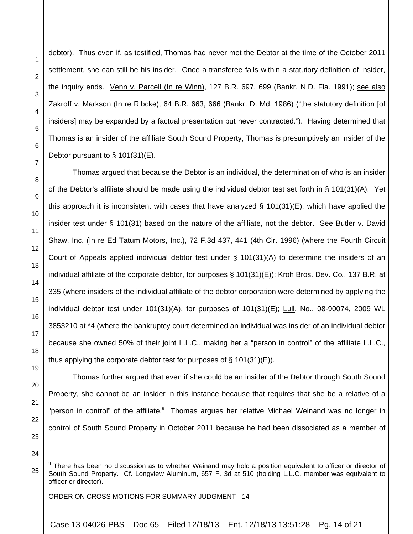debtor). Thus even if, as testified, Thomas had never met the Debtor at the time of the October 2011 settlement, she can still be his insider. Once a transferee falls within a statutory definition of insider, the inquiry ends. Venn v. Parcell (In re Winn), 127 B.R. 697, 699 (Bankr. N.D. Fla. 1991); see also Zakroff v. Markson (In re Ribcke), 64 B.R. 663, 666 (Bankr. D. Md. 1986) ("the statutory definition [of insiders] may be expanded by a factual presentation but never contracted."). Having determined that Thomas is an insider of the affiliate South Sound Property, Thomas is presumptively an insider of the Debtor pursuant to § 101(31)(E).

Thomas argued that because the Debtor is an individual, the determination of who is an insider of the Debtor's affiliate should be made using the individual debtor test set forth in § 101(31)(A). Yet this approach it is inconsistent with cases that have analyzed § 101(31)(E), which have applied the insider test under § 101(31) based on the nature of the affiliate, not the debtor. See Butler v. David Shaw, Inc. (In re Ed Tatum Motors, Inc.), 72 F.3d 437, 441 (4th Cir. 1996) (where the Fourth Circuit Court of Appeals applied individual debtor test under § 101(31)(A) to determine the insiders of an individual affiliate of the corporate debtor, for purposes § 101(31)(E)); Kroh Bros. Dev. Co*.*, 137 B.R. at 335 (where insiders of the individual affiliate of the debtor corporation were determined by applying the individual debtor test under  $101(31)(A)$ , for purposes of  $101(31)(E)$ ; Lull, No., 08-90074, 2009 WL 3853210 at \*4 (where the bankruptcy court determined an individual was insider of an individual debtor because she owned 50% of their joint L.L.C., making her a "person in control" of the affiliate L.L.C., thus applying the corporate debtor test for purposes of  $\S$  101(31)(E)).

1

2

3

4

5

6

7

8

9

10

11

12

13

14

15

16

17

18

23 24

l

25

Thomas further argued that even if she could be an insider of the Debtor through South Sound

Property, she cannot be an insider in this instance because that requires that she be a relative of a

"person in control" of the affiliate.<sup>9</sup> Thomas argues her relative Michael Weinand was no longer in

control of South Sound Property in October 2011 because he had been dissociated as a member of

ORDER ON CROSS MOTIONS FOR SUMMARY JUDGMENT - 14

Case 13-04026-PBS Doc 65 Filed 12/18/13 Ent. 12/18/13 13:51:28 Pg. 14 of 21

<sup>&</sup>lt;sup>9</sup> There has been no discussion as to whether Weinand may hold a position equivalent to officer or director of South Sound Property. Cf. Longview Aluminum, 657 F. 3d at 510 (holding L.L.C. member was equivalent to officer or director).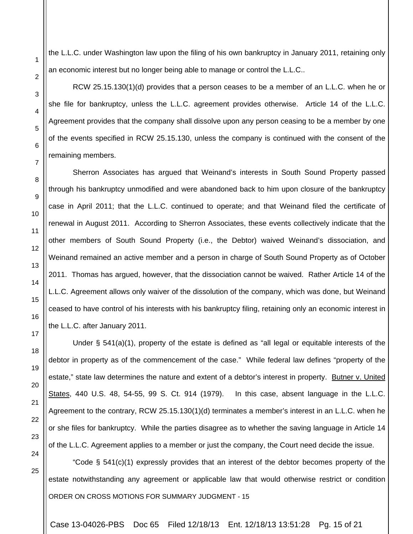the L.L.C. under Washington law upon the filing of his own bankruptcy in January 2011, retaining only an economic interest but no longer being able to manage or control the L.L.C..

RCW 25.15.130(1)(d) provides that a person ceases to be a member of an L.L.C. when he or she file for bankruptcy, unless the L.L.C. agreement provides otherwise. Article 14 of the L.L.C. Agreement provides that the company shall dissolve upon any person ceasing to be a member by one of the events specified in RCW 25.15.130, unless the company is continued with the consent of the remaining members.

Sherron Associates has argued that Weinand's interests in South Sound Property passed through his bankruptcy unmodified and were abandoned back to him upon closure of the bankruptcy case in April 2011; that the L.L.C. continued to operate; and that Weinand filed the certificate of renewal in August 2011. According to Sherron Associates, these events collectively indicate that the other members of South Sound Property (i.e., the Debtor) waived Weinand's dissociation, and Weinand remained an active member and a person in charge of South Sound Property as of October 2011. Thomas has argued, however, that the dissociation cannot be waived. Rather Article 14 of the L.L.C. Agreement allows only waiver of the dissolution of the company, which was done, but Weinand ceased to have control of his interests with his bankruptcy filing, retaining only an economic interest in the L.L.C. after January 2011.

Under § 541(a)(1), property of the estate is defined as "all legal or equitable interests of the debtor in property as of the commencement of the case." While federal law defines "property of the estate," state law determines the nature and extent of a debtor's interest in property. Butner v. United States, 440 U.S. 48, 54-55, 99 S. Ct. 914 (1979). In this case, absent language in the L.L.C. Agreement to the contrary, RCW 25.15.130(1)(d) terminates a member's interest in an L.L.C. when he or she files for bankruptcy. While the parties disagree as to whether the saving language in Article 14 of the L.L.C. Agreement applies to a member or just the company, the Court need decide the issue.

ORDER ON CROSS MOTIONS FOR SUMMARY JUDGMENT - 15 "Code  $\S$  541(c)(1) expressly provides that an interest of the debtor becomes property of the estate notwithstanding any agreement or applicable law that would otherwise restrict or condition

Case 13-04026-PBS Doc 65 Filed 12/18/13 Ent. 12/18/13 13:51:28 Pg. 15 of 21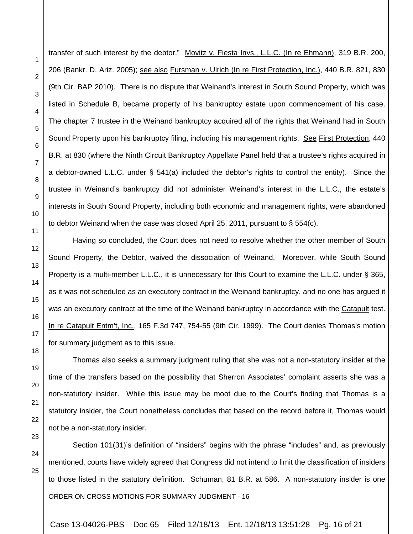transfer of such interest by the debtor." Movitz v. Fiesta Invs., L.L.C. (In re Ehmann), 319 B.R. 200, 206 (Bankr. D. Ariz. 2005); see also Fursman v. Ulrich (In re First Protection, Inc.), 440 B.R. 821, 830 (9th Cir. BAP 2010). There is no dispute that Weinand's interest in South Sound Property, which was listed in Schedule B, became property of his bankruptcy estate upon commencement of his case. The chapter 7 trustee in the Weinand bankruptcy acquired all of the rights that Weinand had in South Sound Property upon his bankruptcy filing, including his management rights. See First Protection, 440 B.R. at 830 (where the Ninth Circuit Bankruptcy Appellate Panel held that a trustee's rights acquired in a debtor-owned L.L.C. under § 541(a) included the debtor's rights to control the entity). Since the trustee in Weinand's bankruptcy did not administer Weinand's interest in the L.L.C., the estate's interests in South Sound Property, including both economic and management rights, were abandoned to debtor Weinand when the case was closed April 25, 2011, pursuant to  $\S$  554(c).

 Having so concluded, the Court does not need to resolve whether the other member of South Sound Property, the Debtor, waived the dissociation of Weinand. Moreover, while South Sound Property is a multi-member L.L.C., it is unnecessary for this Court to examine the L.L.C. under § 365, as it was not scheduled as an executory contract in the Weinand bankruptcy, and no one has argued it was an executory contract at the time of the Weinand bankruptcy in accordance with the Catapult test. In re Catapult Entm't, Inc., 165 F.3d 747, 754-55 (9th Cir. 1999). The Court denies Thomas's motion for summary judgment as to this issue.

Thomas also seeks a summary judgment ruling that she was not a non-statutory insider at the time of the transfers based on the possibility that Sherron Associates' complaint asserts she was a non-statutory insider. While this issue may be moot due to the Court's finding that Thomas is a statutory insider, the Court nonetheless concludes that based on the record before it, Thomas would not be a non-statutory insider.

ORDER ON CROSS MOTIONS FOR SUMMARY JUDGMENT - 16 Section 101(31)'s definition of "insiders" begins with the phrase "includes" and, as previously mentioned, courts have widely agreed that Congress did not intend to limit the classification of insiders to those listed in the statutory definition. Schuman, 81 B.R. at 586. A non-statutory insider is one

Case 13-04026-PBS Doc 65 Filed 12/18/13 Ent. 12/18/13 13:51:28 Pg. 16 of 21

1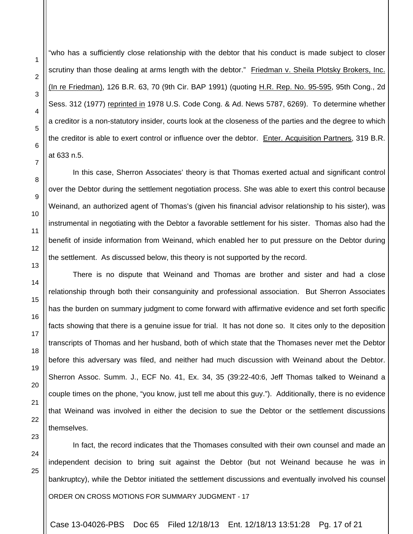"who has a sufficiently close relationship with the debtor that his conduct is made subject to closer scrutiny than those dealing at arms length with the debtor." Friedman v. Sheila Plotsky Brokers, Inc. (In re Friedman), 126 B.R. 63, 70 (9th Cir. BAP 1991) (quoting H.R. Rep. No. 95-595, 95th Cong., 2d Sess. 312 (1977) reprinted in 1978 U.S. Code Cong. & Ad. News 5787, 6269). To determine whether a creditor is a non-statutory insider, courts look at the closeness of the parties and the degree to which the creditor is able to exert control or influence over the debtor. Enter. Acquisition Partners, 319 B.R. at 633 n.5.

1

2

3

4

5

6

7

8

9

10

11

12

13

14

15

16

17

18

19

20

21

22

23

24

25

In this case, Sherron Associates' theory is that Thomas exerted actual and significant control over the Debtor during the settlement negotiation process. She was able to exert this control because Weinand, an authorized agent of Thomas's (given his financial advisor relationship to his sister), was instrumental in negotiating with the Debtor a favorable settlement for his sister. Thomas also had the benefit of inside information from Weinand, which enabled her to put pressure on the Debtor during the settlement. As discussed below, this theory is not supported by the record.

There is no dispute that Weinand and Thomas are brother and sister and had a close relationship through both their consanguinity and professional association. But Sherron Associates has the burden on summary judgment to come forward with affirmative evidence and set forth specific facts showing that there is a genuine issue for trial. It has not done so. It cites only to the deposition transcripts of Thomas and her husband, both of which state that the Thomases never met the Debtor before this adversary was filed, and neither had much discussion with Weinand about the Debtor. Sherron Assoc. Summ. J., ECF No. 41, Ex. 34, 35 (39:22-40:6, Jeff Thomas talked to Weinand a couple times on the phone, "you know, just tell me about this guy."). Additionally, there is no evidence that Weinand was involved in either the decision to sue the Debtor or the settlement discussions themselves.

ORDER ON CROSS MOTIONS FOR SUMMARY JUDGMENT - 17 In fact, the record indicates that the Thomases consulted with their own counsel and made an independent decision to bring suit against the Debtor (but not Weinand because he was in bankruptcy), while the Debtor initiated the settlement discussions and eventually involved his counsel

Case 13-04026-PBS Doc 65 Filed 12/18/13 Ent. 12/18/13 13:51:28 Pg. 17 of 21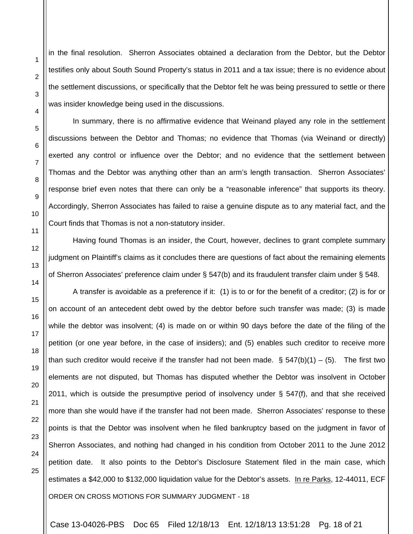in the final resolution. Sherron Associates obtained a declaration from the Debtor, but the Debtor testifies only about South Sound Property's status in 2011 and a tax issue; there is no evidence about the settlement discussions, or specifically that the Debtor felt he was being pressured to settle or there was insider knowledge being used in the discussions.

In summary, there is no affirmative evidence that Weinand played any role in the settlement discussions between the Debtor and Thomas; no evidence that Thomas (via Weinand or directly) exerted any control or influence over the Debtor; and no evidence that the settlement between Thomas and the Debtor was anything other than an arm's length transaction. Sherron Associates' response brief even notes that there can only be a "reasonable inference" that supports its theory. Accordingly, Sherron Associates has failed to raise a genuine dispute as to any material fact, and the Court finds that Thomas is not a non-statutory insider.

Having found Thomas is an insider, the Court, however, declines to grant complete summary judgment on Plaintiff's claims as it concludes there are questions of fact about the remaining elements of Sherron Associates' preference claim under § 547(b) and its fraudulent transfer claim under § 548.

ORDER ON CROSS MOTIONS FOR SUMMARY JUDGMENT - 18 A transfer is avoidable as a preference if it: (1) is to or for the benefit of a creditor; (2) is for or on account of an antecedent debt owed by the debtor before such transfer was made; (3) is made while the debtor was insolvent; (4) is made on or within 90 days before the date of the filing of the petition (or one year before, in the case of insiders); and (5) enables such creditor to receive more than such creditor would receive if the transfer had not been made.  $\S$  547(b)(1) – (5). The first two elements are not disputed, but Thomas has disputed whether the Debtor was insolvent in October 2011, which is outside the presumptive period of insolvency under § 547(f), and that she received more than she would have if the transfer had not been made. Sherron Associates' response to these points is that the Debtor was insolvent when he filed bankruptcy based on the judgment in favor of Sherron Associates, and nothing had changed in his condition from October 2011 to the June 2012 petition date. It also points to the Debtor's Disclosure Statement filed in the main case, which estimates a \$42,000 to \$132,000 liquidation value for the Debtor's assets. In re Parks, 12-44011, ECF

Case 13-04026-PBS Doc 65 Filed 12/18/13 Ent. 12/18/13 13:51:28 Pg. 18 of 21

1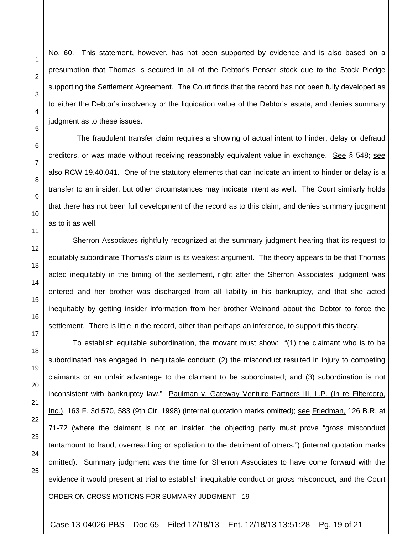No. 60. This statement, however, has not been supported by evidence and is also based on a presumption that Thomas is secured in all of the Debtor's Penser stock due to the Stock Pledge supporting the Settlement Agreement. The Court finds that the record has not been fully developed as to either the Debtor's insolvency or the liquidation value of the Debtor's estate, and denies summary judgment as to these issues.

 The fraudulent transfer claim requires a showing of actual intent to hinder, delay or defraud creditors, or was made without receiving reasonably equivalent value in exchange. See § 548; see also RCW 19.40.041. One of the statutory elements that can indicate an intent to hinder or delay is a transfer to an insider, but other circumstances may indicate intent as well. The Court similarly holds that there has not been full development of the record as to this claim, and denies summary judgment as to it as well.

Sherron Associates rightfully recognized at the summary judgment hearing that its request to equitably subordinate Thomas's claim is its weakest argument. The theory appears to be that Thomas acted inequitably in the timing of the settlement, right after the Sherron Associates' judgment was entered and her brother was discharged from all liability in his bankruptcy, and that she acted inequitably by getting insider information from her brother Weinand about the Debtor to force the settlement. There is little in the record, other than perhaps an inference, to support this theory.

ORDER ON CROSS MOTIONS FOR SUMMARY JUDGMENT - 19 To establish equitable subordination, the movant must show: "(1) the claimant who is to be subordinated has engaged in inequitable conduct; (2) the misconduct resulted in injury to competing claimants or an unfair advantage to the claimant to be subordinated; and (3) subordination is not inconsistent with bankruptcy law." Paulman v. Gateway Venture Partners III, L.P. (In re Filtercorp, Inc.), 163 F. 3d 570, 583 (9th Cir. 1998) (internal quotation marks omitted); see Friedman, 126 B.R. at 71-72 (where the claimant is not an insider, the objecting party must prove "gross misconduct tantamount to fraud, overreaching or spoliation to the detriment of others.") (internal quotation marks omitted). Summary judgment was the time for Sherron Associates to have come forward with the evidence it would present at trial to establish inequitable conduct or gross misconduct, and the Court

1

2

3

4

Case 13-04026-PBS Doc 65 Filed 12/18/13 Ent. 12/18/13 13:51:28 Pg. 19 of 21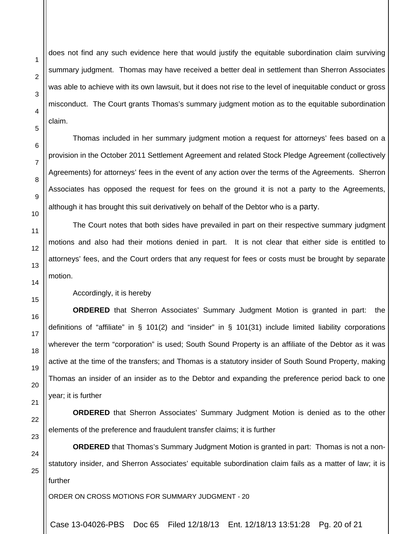does not find any such evidence here that would justify the equitable subordination claim surviving summary judgment. Thomas may have received a better deal in settlement than Sherron Associates was able to achieve with its own lawsuit, but it does not rise to the level of inequitable conduct or gross misconduct. The Court grants Thomas's summary judgment motion as to the equitable subordination claim.

Thomas included in her summary judgment motion a request for attorneys' fees based on a provision in the October 2011 Settlement Agreement and related Stock Pledge Agreement (collectively Agreements) for attorneys' fees in the event of any action over the terms of the Agreements. Sherron Associates has opposed the request for fees on the ground it is not a party to the Agreements, although it has brought this suit derivatively on behalf of the Debtor who is a party.

The Court notes that both sides have prevailed in part on their respective summary judgment motions and also had their motions denied in part. It is not clear that either side is entitled to attorneys' fees, and the Court orders that any request for fees or costs must be brought by separate motion.

Accordingly, it is hereby

**ORDERED** that Sherron Associates' Summary Judgment Motion is granted in part: the definitions of "affiliate" in § 101(2) and "insider" in § 101(31) include limited liability corporations wherever the term "corporation" is used; South Sound Property is an affiliate of the Debtor as it was active at the time of the transfers; and Thomas is a statutory insider of South Sound Property, making Thomas an insider of an insider as to the Debtor and expanding the preference period back to one year; it is further

**ORDERED** that Sherron Associates' Summary Judgment Motion is denied as to the other elements of the preference and fraudulent transfer claims; it is further

**ORDERED** that Thomas's Summary Judgment Motion is granted in part: Thomas is not a nonstatutory insider, and Sherron Associates' equitable subordination claim fails as a matter of law; it is further

ORDER ON CROSS MOTIONS FOR SUMMARY JUDGMENT - 20

Case 13-04026-PBS Doc 65 Filed 12/18/13 Ent. 12/18/13 13:51:28 Pg. 20 of 21